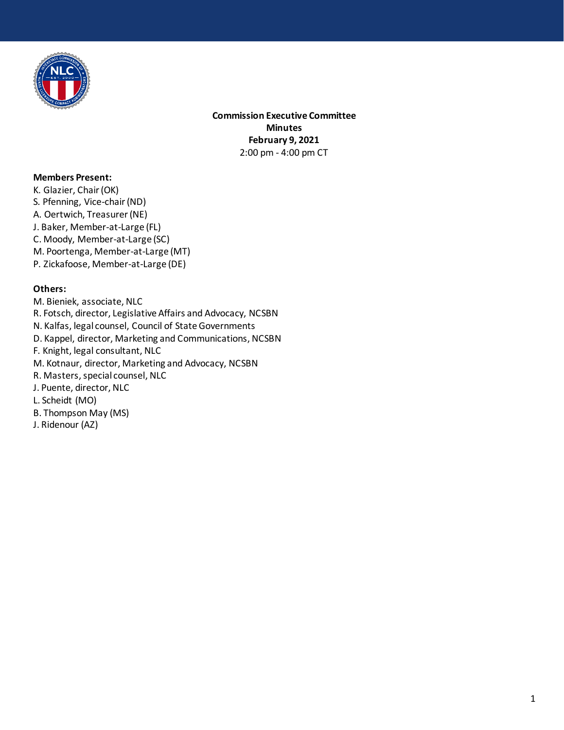

**Commission Executive Committee Minutes February 9, 2021**  2:00 pm - 4:00 pm CT

## **Members Present:**

K. Glazier, Chair (OK) S. Pfenning, Vice-chair (ND) A. Oertwich, Treasurer (NE) J. Baker, Member-at-Large (FL) C. Moody, Member-at-Large (SC) M. Poortenga, Member-at-Large (MT) P. Zickafoose, Member-at-Large (DE)

## **Others:**

M. Bieniek, associate, NLC R. Fotsch, director, Legislative Affairs and Advocacy, NCSBN N. Kalfas, legal counsel, Council of State Governments D. Kappel, director, Marketing and Communications, NCSBN F. Knight, legal consultant, NLC M. Kotnaur, director, Marketing and Advocacy, NCSBN R. Masters, special counsel, NLC J. Puente, director, NLC L. Scheidt (MO) B. Thompson May (MS) J. Ridenour (AZ)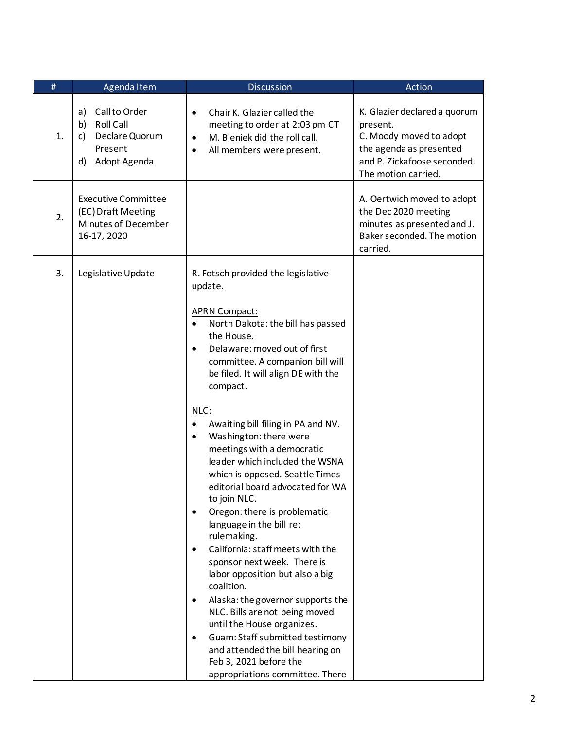| #  | Agenda Item                                                                                            | <b>Discussion</b>                                                                                                                                                                                                                                                                                                                                                                                                                                                                                                                                                                                                                                                                                                                                                                                                                                                                                                                                                          | Action                                                                                                                                               |
|----|--------------------------------------------------------------------------------------------------------|----------------------------------------------------------------------------------------------------------------------------------------------------------------------------------------------------------------------------------------------------------------------------------------------------------------------------------------------------------------------------------------------------------------------------------------------------------------------------------------------------------------------------------------------------------------------------------------------------------------------------------------------------------------------------------------------------------------------------------------------------------------------------------------------------------------------------------------------------------------------------------------------------------------------------------------------------------------------------|------------------------------------------------------------------------------------------------------------------------------------------------------|
| 1. | Call to Order<br>a)<br><b>Roll Call</b><br>b)<br>Declare Quorum<br>c)<br>Present<br>Adopt Agenda<br>d) | Chair K. Glazier called the<br>$\bullet$<br>meeting to order at 2:03 pm CT<br>M. Bieniek did the roll call.<br>$\bullet$<br>All members were present.<br>$\bullet$                                                                                                                                                                                                                                                                                                                                                                                                                                                                                                                                                                                                                                                                                                                                                                                                         | K. Glazier declared a quorum<br>present.<br>C. Moody moved to adopt<br>the agenda as presented<br>and P. Zickafoose seconded.<br>The motion carried. |
| 2. | <b>Executive Committee</b><br>(EC) Draft Meeting<br>Minutes of December<br>16-17, 2020                 |                                                                                                                                                                                                                                                                                                                                                                                                                                                                                                                                                                                                                                                                                                                                                                                                                                                                                                                                                                            | A. Oertwich moved to adopt<br>the Dec 2020 meeting<br>minutes as presented and J.<br>Baker seconded. The motion<br>carried.                          |
| 3. | Legislative Update                                                                                     | R. Fotsch provided the legislative<br>update.<br><b>APRN Compact:</b><br>North Dakota: the bill has passed<br>$\bullet$<br>the House.<br>Delaware: moved out of first<br>$\bullet$<br>committee. A companion bill will<br>be filed. It will align DE with the<br>compact.<br>NLC:<br>Awaiting bill filing in PA and NV.<br>Washington: there were<br>$\bullet$<br>meetings with a democratic<br>leader which included the WSNA<br>which is opposed. Seattle Times<br>editorial board advocated for WA<br>to join NLC.<br>Oregon: there is problematic<br>$\bullet$<br>language in the bill re:<br>rulemaking.<br>California: staff meets with the<br>sponsor next week. There is<br>labor opposition but also a big<br>coalition.<br>Alaska: the governor supports the<br>NLC. Bills are not being moved<br>until the House organizes.<br>Guam: Staff submitted testimony<br>and attended the bill hearing on<br>Feb 3, 2021 before the<br>appropriations committee. There |                                                                                                                                                      |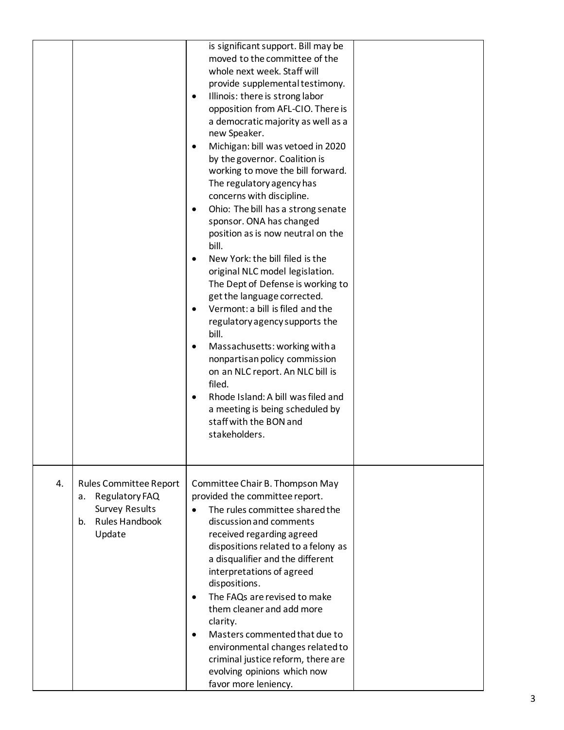|    |                                                                                                                         | is significant support. Bill may be<br>moved to the committee of the<br>whole next week. Staff will<br>provide supplemental testimony.<br>Illinois: there is strong labor<br>$\bullet$<br>opposition from AFL-CIO. There is<br>a democratic majority as well as a<br>new Speaker.<br>Michigan: bill was vetoed in 2020<br>$\bullet$<br>by the governor. Coalition is<br>working to move the bill forward.<br>The regulatory agency has<br>concerns with discipline.<br>Ohio: The bill has a strong senate<br>$\bullet$<br>sponsor. ONA has changed<br>position as is now neutral on the<br>bill.<br>New York: the bill filed is the<br>original NLC model legislation.<br>The Dept of Defense is working to<br>get the language corrected.<br>Vermont: a bill is filed and the<br>$\bullet$<br>regulatory agency supports the<br>bill.<br>Massachusetts: working with a<br>$\bullet$<br>nonpartisan policy commission<br>on an NLC report. An NLC bill is<br>filed.<br>Rhode Island: A bill was filed and<br>$\bullet$<br>a meeting is being scheduled by<br>staff with the BON and<br>stakeholders. |  |
|----|-------------------------------------------------------------------------------------------------------------------------|------------------------------------------------------------------------------------------------------------------------------------------------------------------------------------------------------------------------------------------------------------------------------------------------------------------------------------------------------------------------------------------------------------------------------------------------------------------------------------------------------------------------------------------------------------------------------------------------------------------------------------------------------------------------------------------------------------------------------------------------------------------------------------------------------------------------------------------------------------------------------------------------------------------------------------------------------------------------------------------------------------------------------------------------------------------------------------------------------|--|
| 4. | <b>Rules Committee Report</b><br>Regulatory FAQ<br>а.<br><b>Survey Results</b><br><b>Rules Handbook</b><br>b.<br>Update | Committee Chair B. Thompson May<br>provided the committee report.<br>The rules committee shared the<br>discussion and comments<br>received regarding agreed<br>dispositions related to a felony as<br>a disqualifier and the different<br>interpretations of agreed<br>dispositions.<br>The FAQs are revised to make<br>$\bullet$<br>them cleaner and add more<br>clarity.<br>Masters commented that due to<br>$\bullet$<br>environmental changes related to<br>criminal justice reform, there are<br>evolving opinions which now<br>favor more leniency.                                                                                                                                                                                                                                                                                                                                                                                                                                                                                                                                            |  |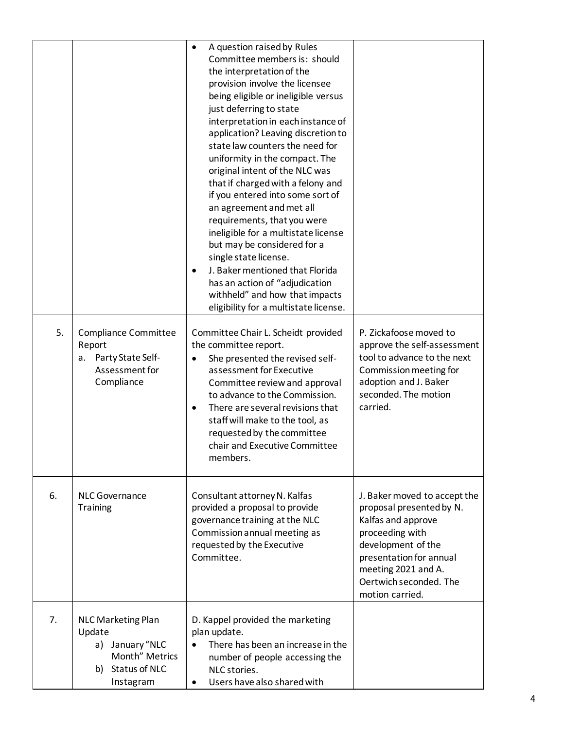|    |                                                                                                              | A question raised by Rules<br>$\bullet$<br>Committee members is: should<br>the interpretation of the<br>provision involve the licensee<br>being eligible or ineligible versus<br>just deferring to state<br>interpretation in each instance of<br>application? Leaving discretion to<br>state law counters the need for<br>uniformity in the compact. The<br>original intent of the NLC was<br>that if charged with a felony and<br>if you entered into some sort of<br>an agreement and met all<br>requirements, that you were<br>ineligible for a multistate license<br>but may be considered for a<br>single state license.<br>J. Baker mentioned that Florida<br>$\bullet$<br>has an action of "adjudication<br>withheld" and how that impacts<br>eligibility for a multistate license. |                                                                                                                                                                                                                        |
|----|--------------------------------------------------------------------------------------------------------------|---------------------------------------------------------------------------------------------------------------------------------------------------------------------------------------------------------------------------------------------------------------------------------------------------------------------------------------------------------------------------------------------------------------------------------------------------------------------------------------------------------------------------------------------------------------------------------------------------------------------------------------------------------------------------------------------------------------------------------------------------------------------------------------------|------------------------------------------------------------------------------------------------------------------------------------------------------------------------------------------------------------------------|
| 5. | <b>Compliance Committee</b><br>Report<br>Party State Self-<br>а.<br>Assessment for<br>Compliance             | Committee Chair L. Scheidt provided<br>the committee report.<br>She presented the revised self-<br>$\bullet$<br>assessment for Executive<br>Committee review and approval<br>to advance to the Commission.<br>There are several revisions that<br>$\bullet$<br>staff will make to the tool, as<br>requested by the committee<br>chair and Executive Committee<br>members.                                                                                                                                                                                                                                                                                                                                                                                                                   | P. Zickafoose moved to<br>approve the self-assessment<br>tool to advance to the next<br>Commission meeting for<br>adoption and J. Baker<br>seconded. The motion<br>carried.                                            |
| 6. | <b>NLC Governance</b><br><b>Training</b>                                                                     | Consultant attorney N. Kalfas<br>provided a proposal to provide<br>governance training at the NLC<br>Commission annual meeting as<br>requested by the Executive<br>Committee.                                                                                                                                                                                                                                                                                                                                                                                                                                                                                                                                                                                                               | J. Baker moved to accept the<br>proposal presented by N.<br>Kalfas and approve<br>proceeding with<br>development of the<br>presentation for annual<br>meeting 2021 and A.<br>Oertwich seconded. The<br>motion carried. |
| 7. | <b>NLC Marketing Plan</b><br>Update<br>January "NLC<br>a)<br>Month" Metrics<br>b) Status of NLC<br>Instagram | D. Kappel provided the marketing<br>plan update.<br>There has been an increase in the<br>number of people accessing the<br>NLC stories.<br>Users have also shared with                                                                                                                                                                                                                                                                                                                                                                                                                                                                                                                                                                                                                      |                                                                                                                                                                                                                        |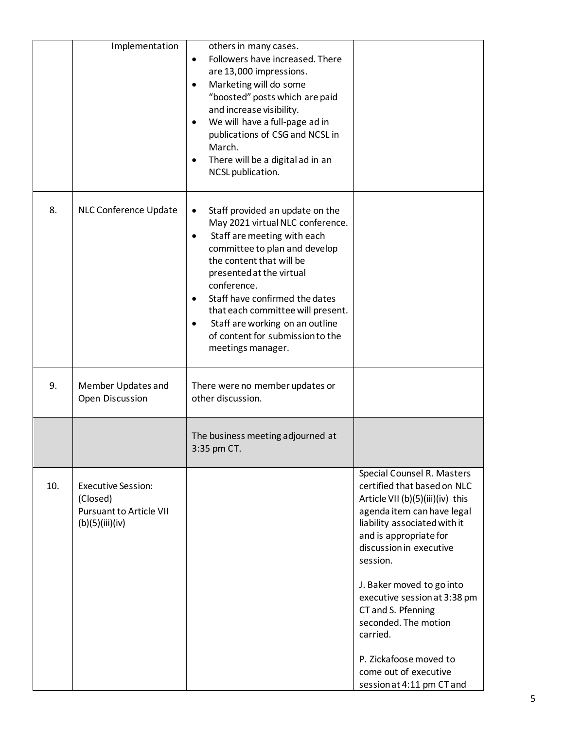|     | Implementation                                                                             | others in many cases.<br>Followers have increased. There<br>$\bullet$<br>are 13,000 impressions.<br>Marketing will do some<br>$\bullet$<br>"boosted" posts which are paid<br>and increase visibility.<br>We will have a full-page ad in<br>publications of CSG and NCSL in<br>March.<br>There will be a digital ad in an<br>$\bullet$<br>NCSL publication.                                                   |                                                                                                                                                                                                                                                                                                                                                                                                                                     |
|-----|--------------------------------------------------------------------------------------------|--------------------------------------------------------------------------------------------------------------------------------------------------------------------------------------------------------------------------------------------------------------------------------------------------------------------------------------------------------------------------------------------------------------|-------------------------------------------------------------------------------------------------------------------------------------------------------------------------------------------------------------------------------------------------------------------------------------------------------------------------------------------------------------------------------------------------------------------------------------|
| 8.  | <b>NLC Conference Update</b>                                                               | Staff provided an update on the<br>May 2021 virtual NLC conference.<br>Staff are meeting with each<br>$\bullet$<br>committee to plan and develop<br>the content that will be<br>presented at the virtual<br>conference.<br>Staff have confirmed the dates<br>٠<br>that each committee will present.<br>Staff are working on an outline<br>$\bullet$<br>of content for submission to the<br>meetings manager. |                                                                                                                                                                                                                                                                                                                                                                                                                                     |
| 9.  | Member Updates and<br>Open Discussion                                                      | There were no member updates or<br>other discussion.                                                                                                                                                                                                                                                                                                                                                         |                                                                                                                                                                                                                                                                                                                                                                                                                                     |
|     |                                                                                            | The business meeting adjourned at<br>3:35 pm CT.                                                                                                                                                                                                                                                                                                                                                             |                                                                                                                                                                                                                                                                                                                                                                                                                                     |
| 10. | <b>Executive Session:</b><br>(Closed)<br><b>Pursuant to Article VII</b><br>(b)(5)(iii)(iv) |                                                                                                                                                                                                                                                                                                                                                                                                              | Special Counsel R. Masters<br>certified that based on NLC<br>Article VII (b)(5)(iii)(iv) this<br>agenda item can have legal<br>liability associated with it<br>and is appropriate for<br>discussion in executive<br>session.<br>J. Baker moved to go into<br>executive session at 3:38 pm<br>CT and S. Pfenning<br>seconded. The motion<br>carried.<br>P. Zickafoose moved to<br>come out of executive<br>session at 4:11 pm CT and |